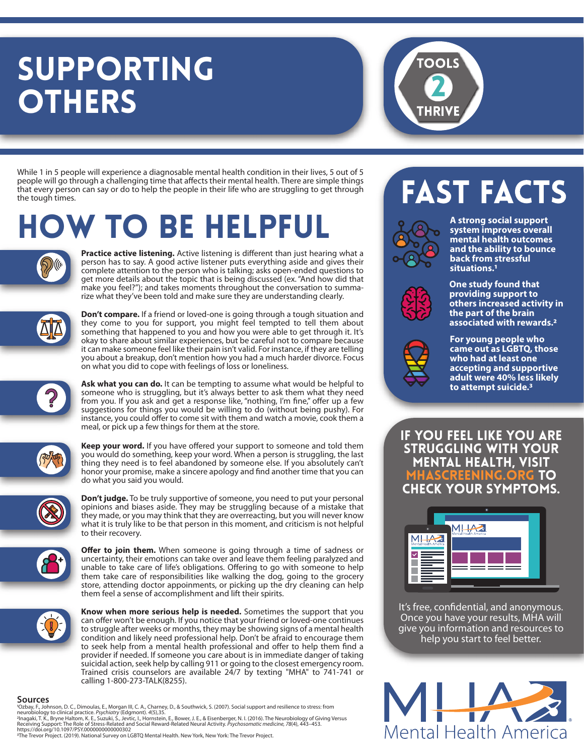### SUPPORTING **OTHERS**



While 1 in 5 people will experience a diagnosable mental health condition in their lives, 5 out of 5 people will go through a challenging time that affects their mental health. There are simple things that every person can say or do to help the people in their life who are struggling to get through the tough times.

## how to be helpful



Practice active listening. Active listening is different than just hearing what a person has to say. A good active listener puts everything aside and gives their complete attention to the person who is talking; asks open-ended questions to get more details about the topic that is being discussed (ex. "And how did that make you feel?"); and takes moments throughout the conversation to summarize what they've been told and make sure they are understanding clearly.



**Don't compare.** If a friend or loved-one is going through a tough situation and they come to you for support, you might feel tempted to tell them about something that happened to you and how you were able to get through it. It's okay to share about similar experiences, but be careful not to compare because it can make someone feel like their pain isn't valid. For instance, if they are telling you about a breakup, don't mention how you had a much harder divorce. Focus on what you did to cope with feelings of loss or loneliness.

**Ask what you can do.** It can be tempting to assume what would be helpful to someone who is struggling, but it's always better to ask them what they need from you. If you ask and get a response like, "nothing, I'm fine," offer up a few suggestions for things you would be willing to do (without being pushy). For instance, you could offer to come sit with them and watch a movie, cook them a meal, or pick up a few things for them at the store.



Keep your word. If you have offered your support to someone and told them you would do something, keep your word. When a person is struggling, the last thing they need is to feel abandoned by someone else. If you absolutely can't honor your promise, make a sincere apology and find another time that you can do what you said you would.



**Don't judge.** To be truly supportive of someone, you need to put your personal opinions and biases aside. They may be struggling because of a mistake that they made, or you may think that they are overreacting, but you will never know what it is truly like to be that person in this moment, and criticism is not helpful to their recovery.



Offer to join them. When someone is going through a time of sadness or uncertainty, their emotions can take over and leave them feeling paralyzed and unable to take care of life's obligations. Offering to go with someone to help them take care of responsibilities like walking the dog, going to the grocery store, attending doctor appoinments, or picking up the dry cleaning can help them feel a sense of accomplishment and lift their spirits.



**Know when more serious help is needed.** Sometimes the support that you can offer won't be enough. If you notice that your friend or loved-one continues to struggle after weeks or months, they may be showing signs of a mental health condition and likely need professional help. Don't be afraid to encourage them to seek help from a mental health professional and offer to help them find a provider if needed. If someone you care about is in immediate danger of taking suicidal action, seek help by calling 911 or going to the closest emergency room. Trained crisis counselors are available 24/7 by texting "MHA" to 741-741 or calling 1-800-273-TALK(8255).

#### **Sources**

'Ozbay, F., Johnson, D. C., Dimoulas, E., Morgan III, C. A., Charney, D., & Southwick, S. (2007). Social support and resilience to stress: from<br>neurobiology to clinical practice. Psychiatry (Edgmont). 4(5),35.<br><sup>2</sup>Inagaki,

### **FAST FACTS**



**A strong social support system improves overall mental health outcomes and the ability to bounce back from stressful situations.1**



**One study found that providing support to others increased activity in the part of the brain associated with rewards.2**



**For young people who came out as LGBTQ, those who had at least one accepting and supportive adult were 40% less likely to attempt suicide.3**

If you feel like you are struggling with your mental health, visit mhascreening.org to check your symptoms.



It's free, confidential, and anonymous. Once you have your results, MHA will give you information and resources to help you start to feel better.